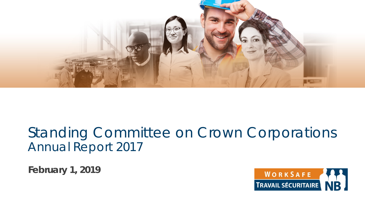

#### Standing Committee on Crown Corporations Annual Report 2017

**February 1, 2019**

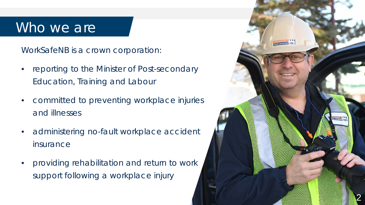#### Who we are

WorkSafeNB is a crown corporation:

- reporting to the Minister of Post-secondary Education, Training and Labour
- committed to preventing workplace injuries and illnesses
- administering no-fault workplace accident insurance
- providing rehabilitation and return to work support following a workplace injury

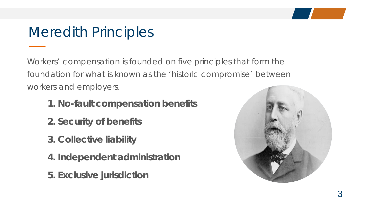## Meredith Principles

Workers' compensation is founded on five principles that form the foundation for what is known as the 'historic compromise' between workers and employers.

- **1. No-fault compensation benefits**
- **2. Security of benefits**
- **3. Collective liability**
- **4. Independent administration**
- **5. Exclusive jurisdiction**

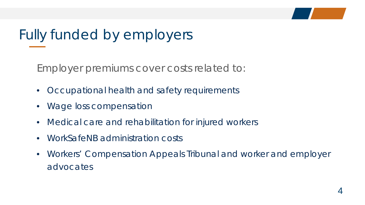## Fully funded by employers

Employer premiums cover costs related to:

- Occupational health and safety requirements
- Wage loss compensation
- Medical care and rehabilitation for injured workers
- WorkSafeNB administration costs
- Workers' Compensation Appeals Tribunal and worker and employer advocates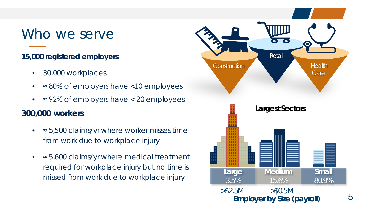#### Who we serve

#### **15,000 registered employers**

- 30,000 workplaces
- ≈ 80% of employers have <10 employees
- $\approx$  92% of employers have < 20 employees

#### **300,000 workers**

- ≈ 5,500 claims/yr where worker misses time from work due to workplace injury
- ≈ 5,600 claims/yr where medical treatment required for workplace injury but no time is missed from work due to workplace injury

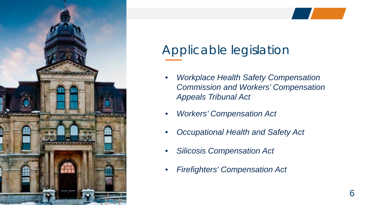

## Applicable legislation

- *Workplace Health Safety Compensation Commission and Workers' Compensation Appeals Tribunal Act*
- *Workers' Compensation Act*
- *Occupational Health and Safety Act*
- *Silicosis Compensation Act*
- *Firefighters' Compensation Act*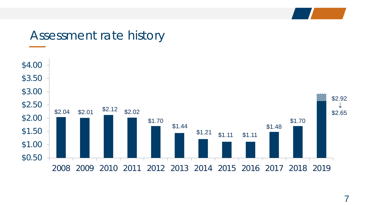#### Assessment rate history

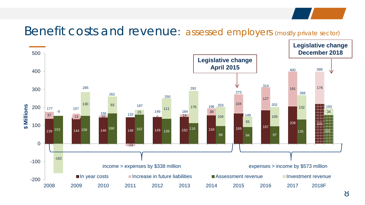#### Benefit costs and revenue: assessed employers (mostly private sector)

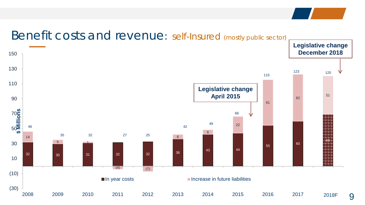#### $30$   $31$   $32$   $32$   $36$   $34$   $36$ <sup>60</sup> 5 1  $(4)$  (7) 62 51 (30) (10) 2009 2010 2011 2012 2013 2014 2015 2016 2017 2018 **\$ Millions** In year costs **Increase in future liabilities**  27 25 120 **Legislative change April 2015 Legislative change December 2018** 2018F

#### Benefit costs and revenue: self-Insured (mostly public sector)

9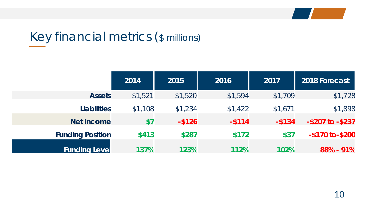

## Key financial metrics (\$ millions)

|                         | 2014    | 2015      | 2016      | 2017      | 2018 Forecast          |
|-------------------------|---------|-----------|-----------|-----------|------------------------|
| <b>Assets</b>           | \$1,521 | \$1,520   | \$1,594   | \$1,709   | \$1,728                |
| <b>Liabilities</b>      | \$1,108 | \$1,234   | \$1,422   | \$1,671   | \$1,898                |
| <b>Net Income</b>       | \$7     | $-$ \$126 | $-$ \$114 | $-$ \$134 | $-$ \$207 to $-$ \$237 |
| <b>Funding Position</b> | \$413   | \$287     | \$172     | \$37      | $-$170 to - $200$      |
| <b>Funding Level</b>    | 137%    | 123%      | 112%      | 102%      | 88% - 91%              |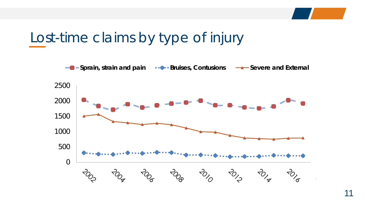

## Lost-time claims by type of injury

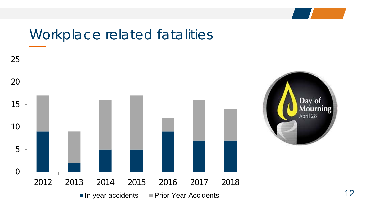## Workplace related fatalities

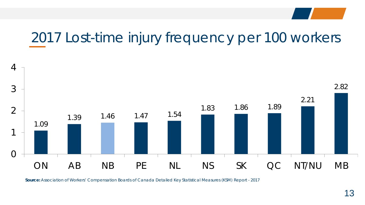## 2017 Lost-time injury frequency per 100 workers



**Source:** *Association of Workers' Compensation Boards of Canada Detailed Key Statistical Measures (KSM) Report - 2017*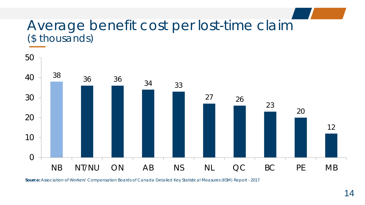#### Average benefit cost per lost-time claim (\$ thousands)



**Source:** *Association of Workers' Compensation Boards of Canada Detailed Key Statistical Measures (KSM) Report - 2017*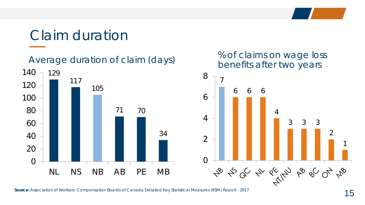## Claim duration

Average duration of claim (days)





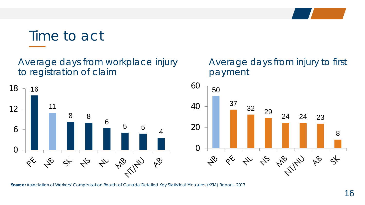#### Time to act

Average days from workplace injury to registration of claim



#### Average days from injury to first payment



**Source:** *Association of Workers' Compensation Boards of Canada Detailed Key Statistical Measures (KSM) Report - 2017*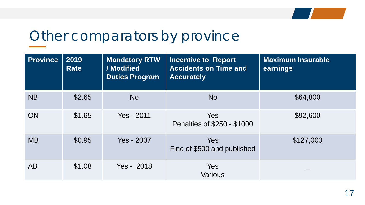

#### Other comparators by province

| <b>Province</b> | 2019<br><b>Rate</b> | <b>Mandatory RTW</b><br>/ Modified<br><b>Duties Program</b> | <b>Incentive to Report</b><br><b>Accidents on Time and</b><br><b>Accurately</b> | <b>Maximum Insurable</b><br>earnings |
|-----------------|---------------------|-------------------------------------------------------------|---------------------------------------------------------------------------------|--------------------------------------|
| <b>NB</b>       | \$2.65              | <b>No</b>                                                   | <b>No</b>                                                                       | \$64,800                             |
| <b>ON</b>       | \$1.65              | Yes - 2011                                                  | <b>Yes</b><br>Penalties of \$250 - \$1000                                       | \$92,600                             |
| <b>MB</b>       | \$0.95              | Yes - 2007                                                  | <b>Yes</b><br>Fine of \$500 and published                                       | \$127,000                            |
| <b>AB</b>       | \$1.08              | Yes - 2018                                                  | <b>Yes</b><br><b>Various</b>                                                    |                                      |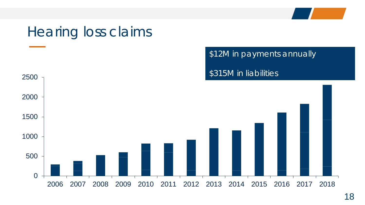## Hearing loss claims

\$12M in payments annually

\$315M in liabilities

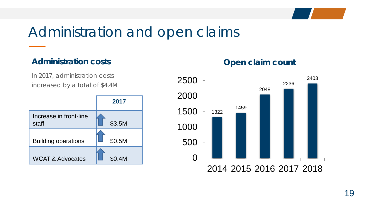

### Administration and open claims

#### **Administration costs**

In 2017, administration costs increased by a total of \$4.4M



#### **Open claim count**

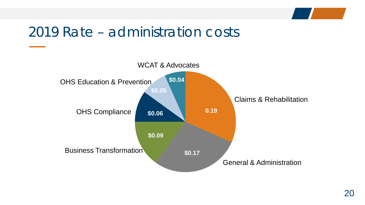### 2019 Rate – administration costs

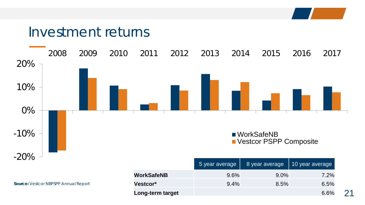#### Investment returns



**Source:** *Vestcor NBPSPP Annual Report*

|                   | 5 year average | 8 year average | 10 year average |
|-------------------|----------------|----------------|-----------------|
| <b>WorkSafeNB</b> | $9.6\%$        | $9.0\%$        | 7.2%            |
| <b>Vestcor*</b>   | 9.4%           | 8.5%           | 6.5%            |
| Long-term target  |                |                | 6.6%            |

21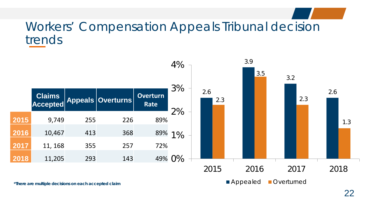#### Workers' Compensation Appeals Tribunal decision trends

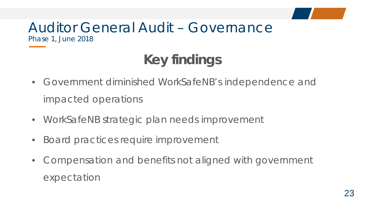#### Auditor General Audit – Governance Phase 1, June 2018

## **Key findings**

- Government diminished WorkSafeNB's independence and impacted operations
- WorkSafeNB strategic plan needs improvement
- Board practices require improvement
- Compensation and benefits not aligned with government expectation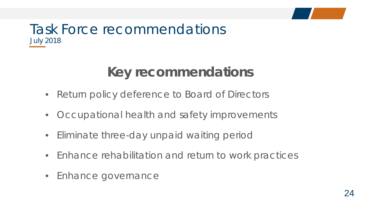#### Task Force recommendations July 2018

## **Key recommendations**

- Return policy deference to Board of Directors
- Occupational health and safety improvements
- Eliminate three-day unpaid waiting period
- Enhance rehabilitation and return to work practices
- Enhance governance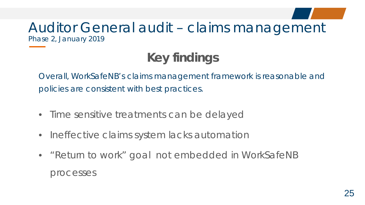#### Auditor General audit – claims management Phase 2, January 2019

## **Key findings**

Overall, WorkSafeNB's claims management framework is reasonable and policies are consistent with best practices.

- Time sensitive treatments can be delayed
- Ineffective claims system lacks automation
- "Return to work" goal not embedded in WorkSafeNB processes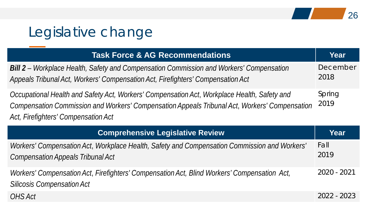## Legislative change

| <b>Task Force &amp; AG Recommendations</b>                                                                                                                                                                                          | Year             |
|-------------------------------------------------------------------------------------------------------------------------------------------------------------------------------------------------------------------------------------|------------------|
| Bill 2 - Workplace Health, Safety and Compensation Commission and Workers' Compensation<br>Appeals Tribunal Act, Workers' Compensation Act, Firefighters' Compensation Act                                                          | December<br>2018 |
| Occupational Health and Safety Act, Workers' Compensation Act, Workplace Health, Safety and<br>Compensation Commission and Workers' Compensation Appeals Tribunal Act, Workers' Compensation<br>Act, Firefighters' Compensation Act | Spring<br>2019   |

| <b>Comprehensive Legislative Review</b>                                                                                                  | Year          |
|------------------------------------------------------------------------------------------------------------------------------------------|---------------|
| Workers' Compensation Act, Workplace Health, Safety and Compensation Commission and Workers'<br><b>Compensation Appeals Tribunal Act</b> | Fall<br>2019  |
| Workers' Compensation Act, Firefighters' Compensation Act, Blind Workers' Compensation Act,<br><b>Silicosis Compensation Act</b>         | 2020 - 2021   |
| OHS Act                                                                                                                                  | $2022 - 2023$ |

26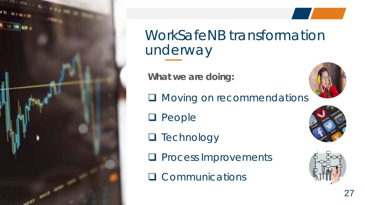

WorkSafeNB transformation underway

**What we are doing:**

**Q** Moving on recommendations

- **Q** People
- **Q** Technology
- **Q** Process Improvements

**Q** Communications





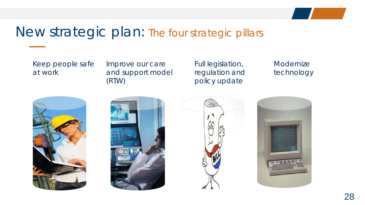#### New strategic plan: The four strategic pillars

Keep people safe at work

Improve our care and support model (RTW)

Full legislation, regulation and policy update

Modernize technology







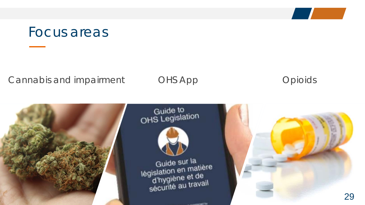#### Focus areas

#### Cannabis and impairment CHS App Cannabis and impairment CHS App